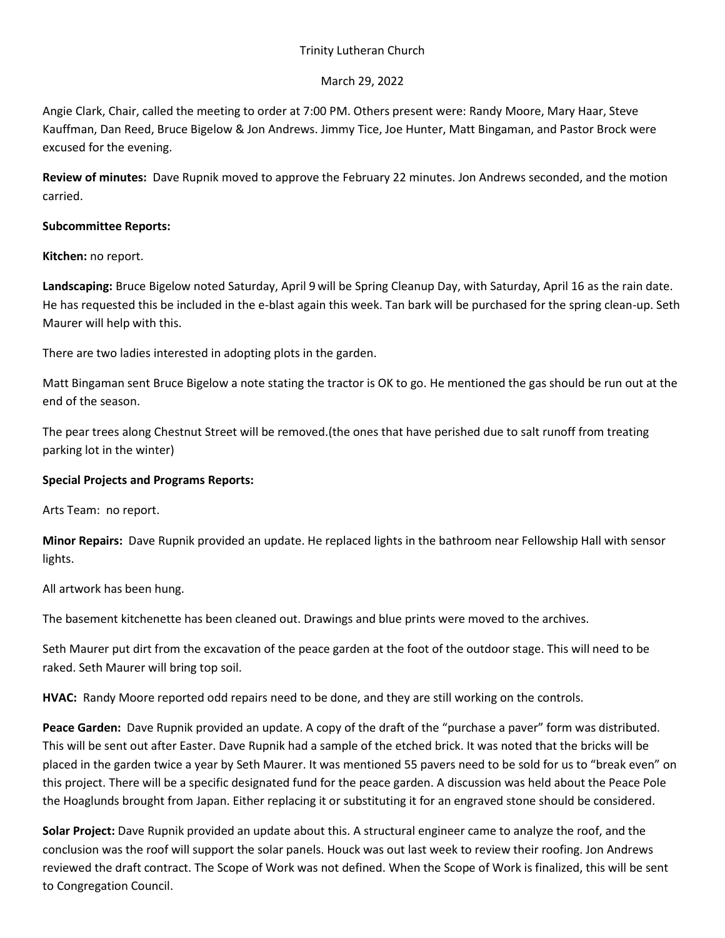## Trinity Lutheran Church

## March 29, 2022

Angie Clark, Chair, called the meeting to order at 7:00 PM. Others present were: Randy Moore, Mary Haar, Steve Kauffman, Dan Reed, Bruce Bigelow & Jon Andrews. Jimmy Tice, Joe Hunter, Matt Bingaman, and Pastor Brock were excused for the evening.

**Review of minutes:** Dave Rupnik moved to approve the February 22 minutes. Jon Andrews seconded, and the motion carried.

## **Subcommittee Reports:**

**Kitchen:** no report.

**Landscaping:** Bruce Bigelow noted Saturday, April 9 will be Spring Cleanup Day, with Saturday, April 16 as the rain date. He has requested this be included in the e-blast again this week. Tan bark will be purchased for the spring clean-up. Seth Maurer will help with this.

There are two ladies interested in adopting plots in the garden.

Matt Bingaman sent Bruce Bigelow a note stating the tractor is OK to go. He mentioned the gas should be run out at the end of the season.

The pear trees along Chestnut Street will be removed.(the ones that have perished due to salt runoff from treating parking lot in the winter)

# **Special Projects and Programs Reports:**

Arts Team: no report.

**Minor Repairs:** Dave Rupnik provided an update. He replaced lights in the bathroom near Fellowship Hall with sensor lights.

All artwork has been hung.

The basement kitchenette has been cleaned out. Drawings and blue prints were moved to the archives.

Seth Maurer put dirt from the excavation of the peace garden at the foot of the outdoor stage. This will need to be raked. Seth Maurer will bring top soil.

**HVAC:** Randy Moore reported odd repairs need to be done, and they are still working on the controls.

**Peace Garden:** Dave Rupnik provided an update. A copy of the draft of the "purchase a paver" form was distributed. This will be sent out after Easter. Dave Rupnik had a sample of the etched brick. It was noted that the bricks will be placed in the garden twice a year by Seth Maurer. It was mentioned 55 pavers need to be sold for us to "break even" on this project. There will be a specific designated fund for the peace garden. A discussion was held about the Peace Pole the Hoaglunds brought from Japan. Either replacing it or substituting it for an engraved stone should be considered.

**Solar Project:** Dave Rupnik provided an update about this. A structural engineer came to analyze the roof, and the conclusion was the roof will support the solar panels. Houck was out last week to review their roofing. Jon Andrews reviewed the draft contract. The Scope of Work was not defined. When the Scope of Work is finalized, this will be sent to Congregation Council.